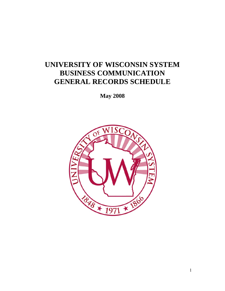# **UNIVERSITY OF WISCONSIN SYSTEM BUSINESS COMMUNICATION GENERAL RECORDS SCHEDULE**

**May 2008** 

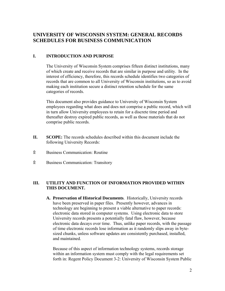## **UNIVERSITY OF WISCONSIN SYSTEM: GENERAL RECORDS SCHEDULES FOR BUSINESS COMMUNICATION**

#### **I. INTRODUCTION AND PURPOSE**

The University of Wisconsin System comprises fifteen distinct institutions, many of which create and receive records that are similar in purpose and utility. In the interest of efficiency, therefore, this records schedule identifies two categories of records that are common to all University of Wisconsin institutions, so as to avoid making each institution secure a distinct retention schedule for the same categories of records.

This document also provides guidance to University of Wisconsin System employees regarding what does and does not comprise a public record, which will in turn allow University employees to retain for a discrete time period and thereafter destroy expired public records, as well as those materials that do not comprise public records.

- **II. SCOPE:** The records schedules described within this document include the following University Records:
- ۩ Business Communication: Routine
- ۩ Business Communication: Transitory

#### **III. UTILITY AND FUNCTION OF INFORMATION PROVIDED WITHIN THIS DOCUMENT.**

**A. Preservation of Historical Documents**. Historically, University records have been preserved in paper files. Presently however, advances in technology are beginning to present a viable alternative to paper records: electronic data stored in computer systems. Using electronic data to store University records presents a potentially fatal flaw, however, because electronic data decays over time. Thus, unlike paper records, with the passage of time electronic records lose information as it randomly slips away in bytesized chunks, unless software updates are consistently purchased, installed, and maintained.

Because of this aspect of information technology systems, records storage within an information system must comply with the legal requirements set forth in: Regent Policy Document 3-2: University of Wisconsin System Public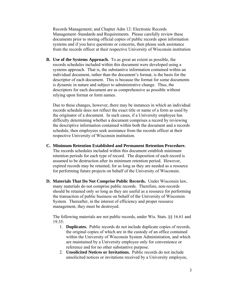Records Management; and Chapter Adm 12: Electronic Records Management–Standards and Requirements. Please carefully review these documents prior to storing official copies of public records upon information systems and if you have questions or concerns, then please seek assistance from the records officer at their respective University of Wisconsin institution

**B. Use of the Systems Approach.** To as great an extent as possible, the records schedules included within this document were developed using a systems approach. That is, the substantive information contained within an individual document, rather than the document's format, is the basis for the descriptor of each document. This is because the format for some documents is dynamic in nature and subject to administrative change. Thus, the descriptors for each document are as comprehensive as possible without relying upon format or form names.

Due to these changes, however, there may be instances in which an individual records schedule does not reflect the exact title or name of a form as used by the originator of a document. In such cases, if a University employee has difficulty determining whether a document comprises a record by reviewing the descriptive information contained within both the document and a records schedule, then employees seek assistance from the records officer at their respective University of Wisconsin institution.

- **C. Minimum Retention Established and Permanent Retention Procedure.** The records schedules included within this document establish minimum retention periods for each type of record. The disposition of each record is assumed to be destruction after its minimum retention period. However, expired records may be retained, for as long as they are needed as a resource for performing future projects on behalf of the University of Wisconsin.
- **D. Materials That Do Not Comprise Public Records.** Under Wisconsin law, many materials do not comprise public records. Therefore, non-records should be retained only so long as they are useful as a resource for performing the transaction of public business on behalf of the University of Wisconsin System. Thereafter, in the interest of efficiency and proper resource management, they must be destroyed.

The following materials are not public records, under Wis. Stats. §§ 16.61 and 19.35:

- 1. **Duplicates.** Public records do not include duplicate copies of records, the original copies of which are in the custody of an office contained within the University of Wisconsin System Administration, and which are maintained by a University employee only for convenience or reference and for no other substantive purpose.
- 2. **Unsolicited Notices or Invitations.** Public records do not include unsolicited notices or invitations received by a University employee,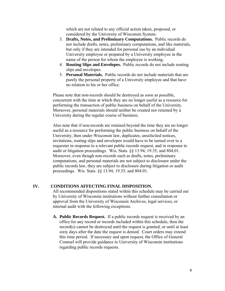which are not related to any official action taken, proposed, or considered by the University of Wisconsin System.

- 3. **Drafts, Notes, and Preliminary Computations.** Public records do not include drafts, notes, preliminary computations, and like materials, but only if they are intended for personal use by an individual University employee or prepared by a University employee in the name of the person for whom the employee is working.
- 4. **Routing Slips and Envelopes.** Public records do not include routing slips and envelopes.
- 5. **Personal Materials.** Public records do not include materials that are purely the personal property of a University employee and that have no relation to his or her office.

Please note that non-records should be destroyed as soon as possible, concurrent with the time at which they are no longer useful as a resource for performing the transaction of public business on behalf of the University. Moreover, personal materials should neither be created nor retained by a University during the regular course of business.

Also note that if non-records are retained beyond the time they are no longer useful as a resource for performing the public business on behalf of the University, then under Wisconsin law, duplicates, unsolicited notices, invitations, routing slips and envelopes would have to be turned over to a requester in response to a relevant public records request, and in response to audit or litigation proceedings. Wis. Stats. §§ 13.94, 19.35, and 804.01. Moreover, even though non-records such as drafts, notes, preliminary computations, and personal materials are not subject to disclosure under the public records law, they are subject to disclosure during litigation or audit proceedings. Wis. Stats. §§ 13.94, 19.35, and 804.01.

#### **IV. CONDITIONS AFFECTING FINAL DISPOSITION.**

All recommended dispositions stated within this schedule may be carried out by University of Wisconsin institutions without further consultation or approval from the University of Wisconsin Archives, legal services, or internal audit with the following exceptions:

**A. Public Records Request.** If a public records request is received by an office for any record or records included within this schedule, then the record(s) cannot be destroyed until the request is granted, or until at least sixty days after the date the request is denied. Court orders may extend this time period. If necessary and upon request, the Office of General Counsel will provide guidance to University of Wisconsin institutions regarding public records requests.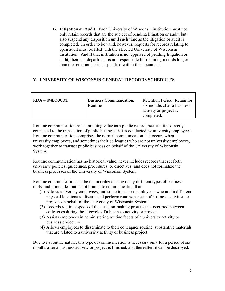**B. Litigation or Audit.** Each University of Wisconsin institution must not only retain records that are the subject of pending litigation or audit, but also suspend any disposition until such time as the litigation or audit is completed. In order to be valid, however, requests for records relating to open audit must be filed with the affected University of Wisconsin institution. And if that institution is not apprised of pending litigation or audit, then that department is not responsible for retaining records longer than the retention periods specified within this document.

### **V. UNIVERSITY OF WISCONSIN GENERAL RECORDS SCHEDULES**

| $RDA$ #UWBC0001 | <b>Business Communication:</b><br>Routine | Retention Period: Retain for<br>six months after a business<br>activity or project is |
|-----------------|-------------------------------------------|---------------------------------------------------------------------------------------|
|                 |                                           | completed.                                                                            |

Routine communication has continuing value as a public record, because it is directly connected to the transaction of public business that is conducted by university employees. Routine communication comprises the normal communication that occurs when university employees, and sometimes their colleagues who are not university employees, work together to transact public business on behalf of the University of Wisconsin System.

Routine communication has no historical value; never includes records that set forth university policies, guidelines, procedures, or directives; and does not formalize the business processes of the University of Wisconsin System.

Routine communication can be memorialized using many different types of business tools, and it includes but is not limited to communication that:

- (1) Allows university employees, and sometimes non-employees, who are in different physical locations to discuss and perform routine aspects of business activities or projects on behalf of the University of Wisconsin System;
- (2) Records routine aspects of the decision-making process that occurred between colleagues during the lifecycle of a business activity or project;
- (3) Assists employees in administering routine facets of a university activity or business project; or
- (4) Allows employees to disseminate to their colleagues routine, substantive materials that are related to a university activity or business project.

Due to its routine nature, this type of communication is necessary only for a period of six months after a business activity or project is finished, and thereafter, it can be destroyed.